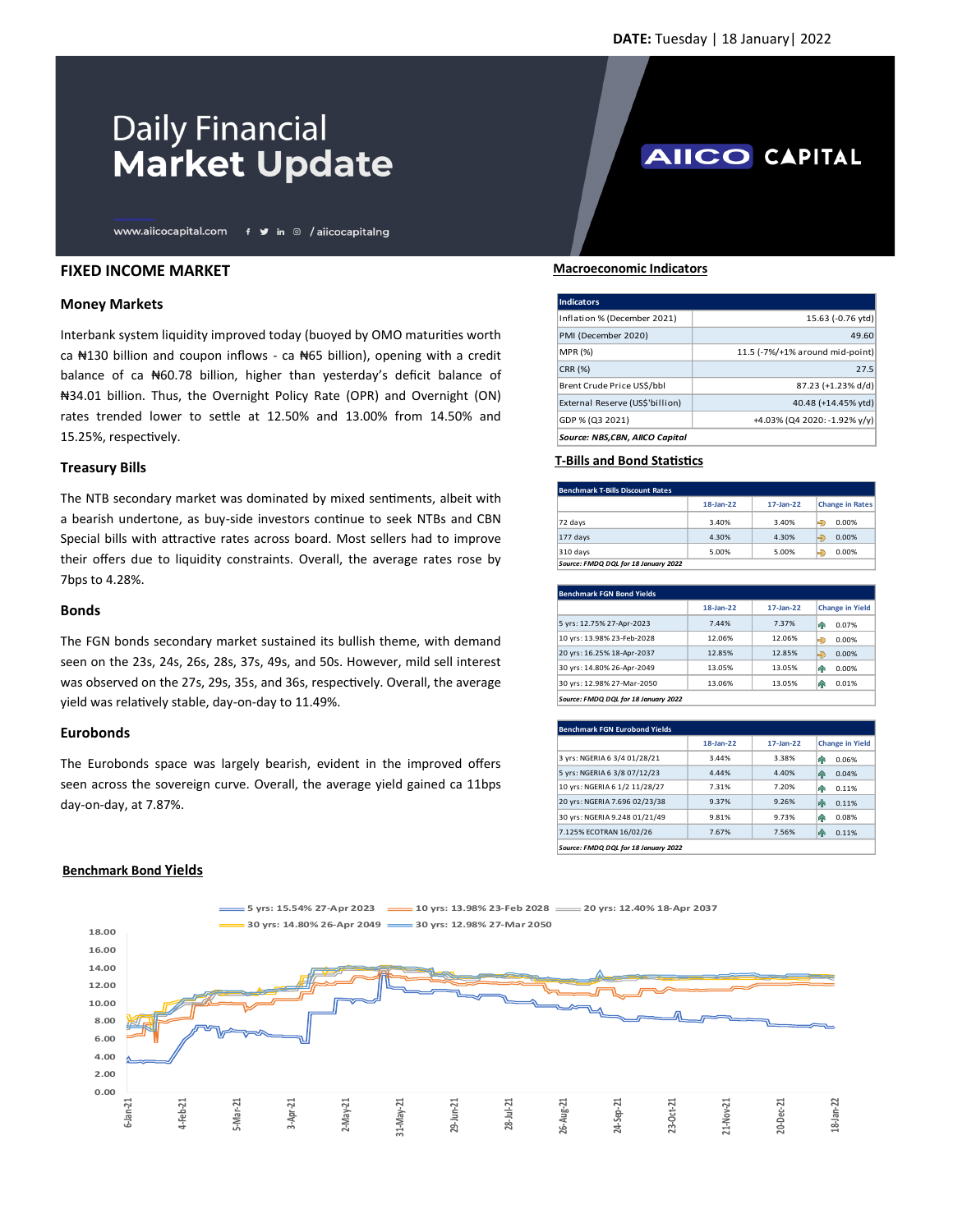**AIICO CAPITAL** 

# **Daily Financial Market Update**

www.aiicocapital.com f y in @ /aiicocapitalng

## **FIXED INCOME MARKET**

### **Money Markets**

Interbank system liquidity improved today (buoyed by OMO maturities worth ca  $\text{N130}$  billion and coupon inflows - ca  $\text{N65}$  billion), opening with a credit balance of ca N60.78 billion, higher than yesterday's deficit balance of ₦34.01 billion. Thus, the Overnight Policy Rate (OPR) and Overnight (ON) rates trended lower to settle at 12.50% and 13.00% from 14.50% and 15.25%, respectively.

### **Treasury Bills**

The NTB secondary market was dominated by mixed sentiments, albeit with a bearish undertone, as buy-side investors continue to seek NTBs and CBN Special bills with attractive rates across board. Most sellers had to improve their offers due to liquidity constraints. Overall, the average rates rose by 7bps to 4.28%.

#### **Bonds**

The FGN bonds secondary market sustained its bullish theme, with demand seen on the 23s, 24s, 26s, 28s, 37s, 49s, and 50s. However, mild sell interest was observed on the 27s, 29s, 35s, and 36s, respectively. Overall, the average yield was relatively stable, day-on-day to 11.49%.

## **Eurobonds**

The Eurobonds space was largely bearish, evident in the improved offers seen across the sovereign curve. Overall, the average yield gained ca 11bps day-on-day, at 7.87%.

#### **Macroeconomic Indicators**

| Indicators                      |                                 |
|---------------------------------|---------------------------------|
| Inflation % (December 2021)     | 15.63 (-0.76 ytd)               |
| PMI (December 2020)             | 49.60                           |
| <b>MPR (%)</b>                  | 11.5 (-7%/+1% around mid-point) |
| <b>CRR (%)</b>                  | 27.5                            |
| Brent Crude Price US\$/bbl      | 87.23 (+1.23% d/d)              |
| External Reserve (US\$'billion) | 40.48 (+14.45% ytd)             |
| GDP % (Q3 2021)                 | +4.03% (Q4 2020: -1.92% y/y)    |
| Source: NBS,CBN, AIICO Capital  |                                 |

#### **T-Bills and Bond Statistics**

| <b>Benchmark T-Bills Discount Rates</b> |           |              |                        |  |
|-----------------------------------------|-----------|--------------|------------------------|--|
|                                         | 18-Jan-22 | $17$ -Jan-22 | <b>Change in Rates</b> |  |
| 72 days                                 | 3.40%     | 3.40%        | 0.00%                  |  |
| $177$ days                              | 4.30%     | 4.30%        | Ð<br>0.00%             |  |
| $310$ days                              | 5.00%     | 5.00%        | 0.00%                  |  |
| Source: FMDQ DQL for 18 January 2022    |           |              |                        |  |

| <b>Benchmark FGN Bond Yields</b>     |           |              |                        |
|--------------------------------------|-----------|--------------|------------------------|
|                                      | 18-Jan-22 | $17$ -Jan-22 | <b>Change in Yield</b> |
| 5 yrs: 12.75% 27-Apr-2023            | 7.44%     | 7.37%        | 0.07%<br>hР            |
| 10 yrs: 13.98% 23-Feb-2028           | 12.06%    | 12.06%       | Ð<br>0.00%             |
| 20 yrs: 16.25% 18-Apr-2037           | 12.85%    | 12.85%       | ⊜<br>0.00%             |
| 30 yrs: 14.80% 26-Apr-2049           | 13.05%    | 13.05%       | 0.00%<br>hР            |
| 30 yrs: 12.98% 27-Mar-2050           | 13.06%    | 13.05%       | 0.01%<br>h             |
| Source: FMDQ DQL for 18 January 2022 |           |              |                        |

| Benchmark FGN Eurobond Yields        |           |              |                        |
|--------------------------------------|-----------|--------------|------------------------|
|                                      | 18-Jan-22 | $17$ -Jan-22 | <b>Change in Yield</b> |
| 3 yrs: NGERIA 6 3/4 01/28/21         | 3.44%     | 3.38%        | 0.06%<br>ИP            |
| 5 yrs: NGERIA 6 3/8 07/12/23         | 4.44%     | 4.40%        | ИR<br>0.04%            |
| 10 yrs: NGERIA 6 1/2 11/28/27        | 7.31%     | 7.20%        | 4P<br>0.11%            |
| 20 yrs: NGERIA 7.696 02/23/38        | 9.37%     | 9.26%        | 0.11%<br>命             |
| 30 yrs: NGERIA 9.248 01/21/49        | 9.81%     | 9.73%        | 0.08%<br>hР            |
| 7.125% ECOTRAN 16/02/26              | 7.67%     | 7.56%        | 曱<br>0.11%             |
| Source: FMDQ DQL for 18 January 2022 |           |              |                        |

## **Benchmark Bond Yields**